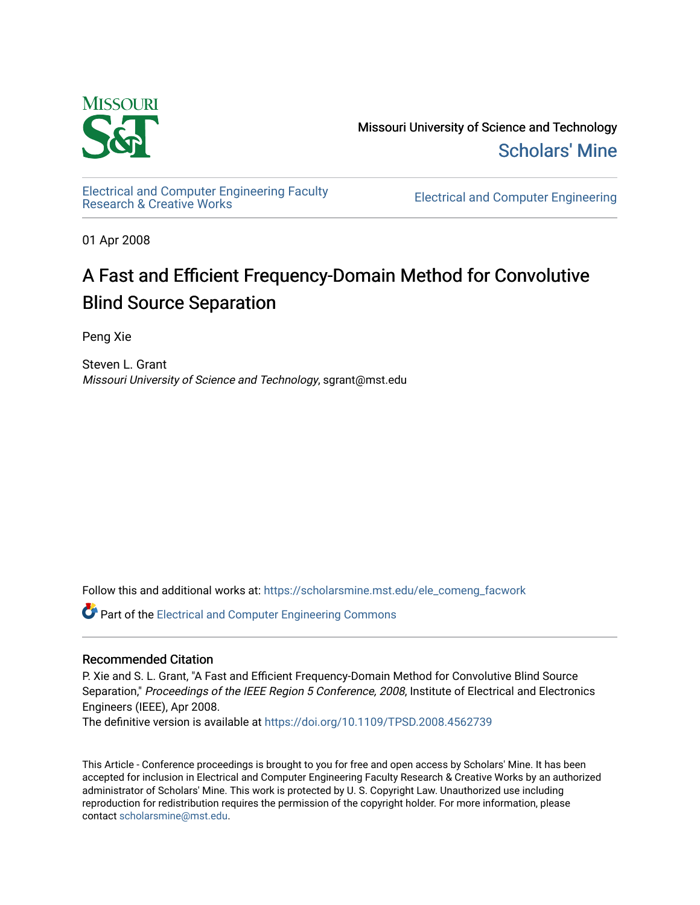

Missouri University of Science and Technology [Scholars' Mine](https://scholarsmine.mst.edu/) 

[Electrical and Computer Engineering Faculty](https://scholarsmine.mst.edu/ele_comeng_facwork)<br>Research & Creative Works

**Electrical and Computer Engineering** 

01 Apr 2008

# A Fast and Efficient Frequency-Domain Method for Convolutive Blind Source Separation

Peng Xie

Steven L. Grant Missouri University of Science and Technology, sgrant@mst.edu

Follow this and additional works at: [https://scholarsmine.mst.edu/ele\\_comeng\\_facwork](https://scholarsmine.mst.edu/ele_comeng_facwork?utm_source=scholarsmine.mst.edu%2Fele_comeng_facwork%2F1354&utm_medium=PDF&utm_campaign=PDFCoverPages)

**C** Part of the Electrical and Computer Engineering Commons

# Recommended Citation

P. Xie and S. L. Grant, "A Fast and Efficient Frequency-Domain Method for Convolutive Blind Source Separation," Proceedings of the IEEE Region 5 Conference, 2008, Institute of Electrical and Electronics Engineers (IEEE), Apr 2008.

The definitive version is available at <https://doi.org/10.1109/TPSD.2008.4562739>

This Article - Conference proceedings is brought to you for free and open access by Scholars' Mine. It has been accepted for inclusion in Electrical and Computer Engineering Faculty Research & Creative Works by an authorized administrator of Scholars' Mine. This work is protected by U. S. Copyright Law. Unauthorized use including reproduction for redistribution requires the permission of the copyright holder. For more information, please contact [scholarsmine@mst.edu](mailto:scholarsmine@mst.edu).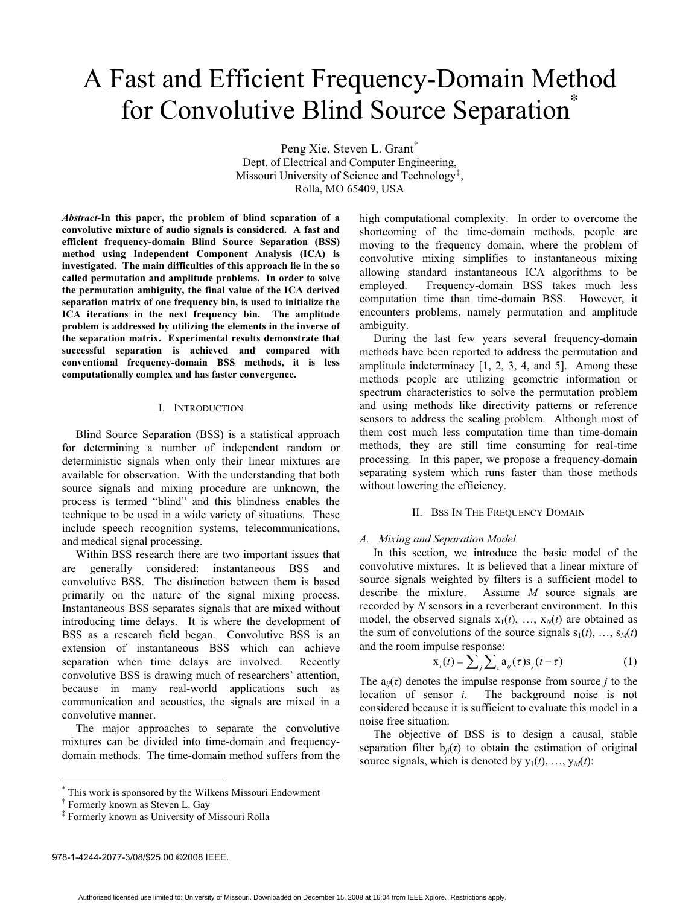# A Fast and Efficient Frequency-Domain Method for Convolutive Blind Source Separation<sup>®</sup>

Peng Xie, Steven L. Grant† Dept. of Electrical and Computer Engineering, Missouri University of Science and Technology<sup>‡</sup>, Rolla, MO 65409, USA

*Abstract-***In this paper, the problem of blind separation of a convolutive mixture of audio signals is considered. A fast and efficient frequency-domain Blind Source Separation (BSS) method using Independent Component Analysis (ICA) is investigated. The main difficulties of this approach lie in the so called permutation and amplitude problems. In order to solve the permutation ambiguity, the final value of the ICA derived separation matrix of one frequency bin, is used to initialize the ICA iterations in the next frequency bin. The amplitude problem is addressed by utilizing the elements in the inverse of the separation matrix. Experimental results demonstrate that successful separation is achieved and compared with conventional frequency-domain BSS methods, it is less computationally complex and has faster convergence.**

# I. INTRODUCTION

Blind Source Separation (BSS) is a statistical approach for determining a number of independent random or deterministic signals when only their linear mixtures are available for observation. With the understanding that both source signals and mixing procedure are unknown, the process is termed "blind" and this blindness enables the technique to be used in a wide variety of situations. These include speech recognition systems, telecommunications, and medical signal processing.

Within BSS research there are two important issues that are generally considered: instantaneous BSS and convolutive BSS. The distinction between them is based primarily on the nature of the signal mixing process. Instantaneous BSS separates signals that are mixed without introducing time delays. It is where the development of BSS as a research field began. Convolutive BSS is an extension of instantaneous BSS which can achieve separation when time delays are involved. Recently convolutive BSS is drawing much of researchers' attention, because in many real-world applications such as communication and acoustics, the signals are mixed in a convolutive manner.

The major approaches to separate the convolutive mixtures can be divided into time-domain and frequencydomain methods. The time-domain method suffers from the

\* This work is sponsored by the Wilkens Missouri Endowment high computational complexity. In order to overcome the shortcoming of the time-domain methods, people are moving to the frequency domain, where the problem of convolutive mixing simplifies to instantaneous mixing allowing standard instantaneous ICA algorithms to be employed. Frequency-domain BSS takes much less computation time than time-domain BSS. However, it encounters problems, namely permutation and amplitude ambiguity.

During the last few years several frequency-domain methods have been reported to address the permutation and amplitude indeterminacy [1, 2, 3, 4, and 5]. Among these methods people are utilizing geometric information or spectrum characteristics to solve the permutation problem and using methods like directivity patterns or reference sensors to address the scaling problem. Although most of them cost much less computation time than time-domain methods, they are still time consuming for real-time processing. In this paper, we propose a frequency-domain separating system which runs faster than those methods without lowering the efficiency.

#### II. BSS IN THE FREQUENCY DOMAIN

# *A. Mixing and Separation Model*

In this section, we introduce the basic model of the convolutive mixtures. It is believed that a linear mixture of source signals weighted by filters is a sufficient model to describe the mixture. Assume *M* source signals are recorded by *N* sensors in a reverberant environment. In this model, the observed signals  $x_1(t)$ , ...,  $x_N(t)$  are obtained as the sum of convolutions of the source signals  $s_1(t), \ldots, s_M(t)$ and the room impulse response:

$$
\mathbf{x}_{i}(t) = \sum_{j} \sum_{\tau} \mathbf{a}_{ij}(\tau) \mathbf{s}_{j}(t - \tau) \tag{1}
$$

The  $a_{ij}(\tau)$  denotes the impulse response from source *j* to the location of sensor *i*. The background noise is not considered because it is sufficient to evaluate this model in a noise free situation.

The objective of BSS is to design a causal, stable separation filter  $b_{ij}(\tau)$  to obtain the estimation of original source signals, which is denoted by  $y_1(t)$ , ...,  $y_M(t)$ :

<sup>†</sup> Formerly known as Steven L. Gay

<sup>‡</sup> Formerly known as University of Missouri Rolla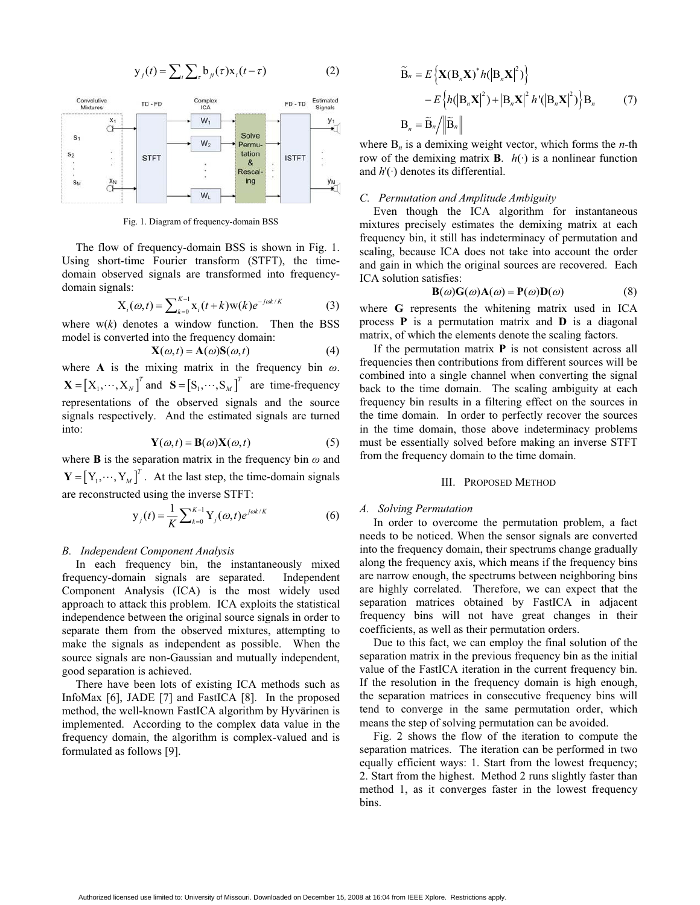$$
\mathbf{y}_j(t) = \sum_i \sum_{\tau} \mathbf{b}_{ji}(\tau) \mathbf{x}_i(t - \tau) \tag{2}
$$



Fig. 1. Diagram of frequency-domain BSS

The flow of frequency-domain BSS is shown in Fig. 1. Using short-time Fourier transform (STFT), the timedomain observed signals are transformed into frequencydomain signals:

$$
X_{i}(\omega, t) = \sum_{k=0}^{K-1} x_{i}(t+k) w(k) e^{-j\omega k/K}
$$
 (3)

where w(*k*) denotes a window function. Then the BSS model is converted into the frequency domain:

$$
\mathbf{X}(\omega, t) = \mathbf{A}(\omega)\mathbf{S}(\omega, t) \tag{4}
$$

where **A** is the mixing matrix in the frequency bin  $\omega$ .  $\mathbf{X} = \begin{bmatrix} X_1, \cdots, X_N \end{bmatrix}^T$  and  $\mathbf{S} = \begin{bmatrix} S_1, \cdots, S_M \end{bmatrix}^T$  are time-frequency representations of the observed signals and the source signals respectively. And the estimated signals are turned into:

$$
Y(\omega, t) = B(\omega)X(\omega, t)
$$
 (5)

where **B** is the separation matrix in the frequency bin  $\omega$  and  $\mathbf{Y} = \begin{bmatrix} Y_1, \cdots, Y_M \end{bmatrix}^T$ . At the last step, the time-domain signals are reconstructed using the inverse STFT:

$$
y_j(t) = \frac{1}{K} \sum_{k=0}^{K-1} Y_j(\omega, t) e^{j\omega k/K}
$$
 (6)

#### *B. Independent Component Analysis*

In each frequency bin, the instantaneously mixed frequency-domain signals are separated. Independent Component Analysis (ICA) is the most widely used approach to attack this problem. ICA exploits the statistical independence between the original source signals in order to separate them from the observed mixtures, attempting to make the signals as independent as possible. When the source signals are non-Gaussian and mutually independent, good separation is achieved.

There have been lots of existing ICA methods such as InfoMax [6], JADE [7] and FastICA [8]. In the proposed method, the well-known FastICA algorithm by Hyvärinen is implemented. According to the complex data value in the frequency domain, the algorithm is complex-valued and is formulated as follows [9].

$$
\widetilde{\mathbf{B}}_n = E\left\{\mathbf{X}(\mathbf{B}_n\mathbf{X})^* h(|\mathbf{B}_n\mathbf{X}|^2)\right\}
$$

$$
- E\left\{h(|\mathbf{B}_n\mathbf{X}|^2) + |\mathbf{B}_n\mathbf{X}|^2 h'(|\mathbf{B}_n\mathbf{X}|^2)\right\} \mathbf{B}_n \qquad (7)
$$

$$
\mathbf{B}_n = \widetilde{\mathbf{B}}_n / ||\widetilde{\mathbf{B}}_n||
$$

where  $B_n$  is a demixing weight vector, which forms the *n*-th row of the demixing matrix **B**.  $h(\cdot)$  is a nonlinear function and *h*'(·) denotes its differential.

#### *C. Permutation and Amplitude Ambiguity*

Even though the ICA algorithm for instantaneous mixtures precisely estimates the demixing matrix at each frequency bin, it still has indeterminacy of permutation and scaling, because ICA does not take into account the order and gain in which the original sources are recovered. Each ICA solution satisfies:

$$
\mathbf{B}(\omega)\mathbf{G}(\omega)\mathbf{A}(\omega) = \mathbf{P}(\omega)\mathbf{D}(\omega)
$$
 (8)

where **G** represents the whitening matrix used in ICA process **P** is a permutation matrix and **D** is a diagonal matrix, of which the elements denote the scaling factors.

If the permutation matrix **P** is not consistent across all frequencies then contributions from different sources will be combined into a single channel when converting the signal back to the time domain. The scaling ambiguity at each frequency bin results in a filtering effect on the sources in the time domain. In order to perfectly recover the sources in the time domain, those above indeterminacy problems must be essentially solved before making an inverse STFT from the frequency domain to the time domain.

#### III. PROPOSED METHOD

#### *A. Solving Permutation*

In order to overcome the permutation problem, a fact needs to be noticed. When the sensor signals are converted into the frequency domain, their spectrums change gradually along the frequency axis, which means if the frequency bins are narrow enough, the spectrums between neighboring bins are highly correlated. Therefore, we can expect that the separation matrices obtained by FastICA in adjacent frequency bins will not have great changes in their coefficients, as well as their permutation orders.

Due to this fact, we can employ the final solution of the separation matrix in the previous frequency bin as the initial value of the FastICA iteration in the current frequency bin. If the resolution in the frequency domain is high enough, the separation matrices in consecutive frequency bins will tend to converge in the same permutation order, which means the step of solving permutation can be avoided.

Fig. 2 shows the flow of the iteration to compute the separation matrices. The iteration can be performed in two equally efficient ways: 1. Start from the lowest frequency; 2. Start from the highest. Method 2 runs slightly faster than method 1, as it converges faster in the lowest frequency bins.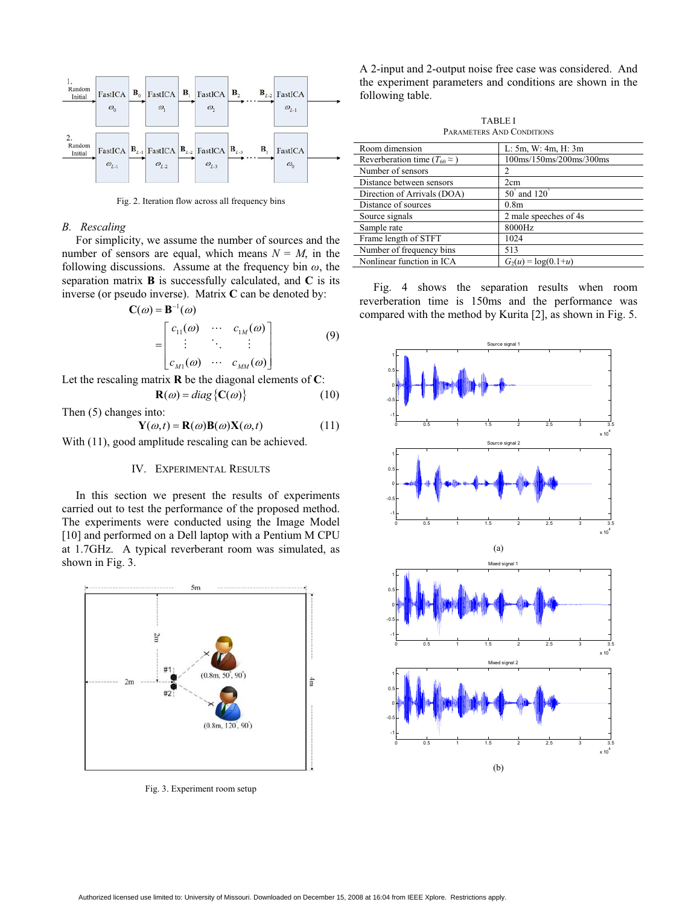

Fig. 2. Iteration flow across all frequency bins

# *B. Rescaling*

For simplicity, we assume the number of sources and the number of sensors are equal, which means  $N = M$ , in the following discussions. Assume at the frequency bin  $\omega$ , the separation matrix **B** is successfully calculated, and **C** is its inverse (or pseudo inverse). Matrix **C** can be denoted by:

$$
\mathbf{C}(\omega) = \mathbf{B}^{-1}(\omega)
$$
  
= 
$$
\begin{bmatrix} c_{11}(\omega) & \cdots & c_{1M}(\omega) \\ \vdots & \ddots & \vdots \\ c_{M1}(\omega) & \cdots & c_{MM}(\omega) \end{bmatrix}
$$
 (9)

Let the rescaling matrix **R** be the diagonal elements of **C**:

$$
\mathbf{R}(\omega) = diag\{\mathbf{C}(\omega)\}\tag{10}
$$

Then (5) changes into:

$$
\mathbf{Y}(\omega, t) = \mathbf{R}(\omega)\mathbf{B}(\omega)\mathbf{X}(\omega, t) \tag{11}
$$

With (11), good amplitude rescaling can be achieved.

#### IV. EXPERIMENTAL RESULTS

In this section we present the results of experiments carried out to test the performance of the proposed method. The experiments were conducted using the Image Model [10] and performed on a Dell laptop with a Pentium M CPU at 1.7GHz. A typical reverberant room was simulated, as shown in Fig. 3.



Fig. 3. Experiment room setup

A 2-input and 2-output noise free case was considered. And the experiment parameters and conditions are shown in the following table.

TABLE I PARAMETERS AND CONDITIONS

| Room dimension                          | L: 5m, W: 4m, H: 3m     |
|-----------------------------------------|-------------------------|
| Reverberation time ( $T_{60} \approx$ ) | 100ms/150ms/200ms/300ms |
| Number of sensors                       | 2                       |
| Distance between sensors                | 2cm                     |
| Direction of Arrivals (DOA)             | 50° and 120°            |
| Distance of sources                     | 0.8 <sub>m</sub>        |
| Source signals                          | 2 male speeches of 4s   |
| Sample rate                             | 8000Hz                  |
| Frame length of STFT                    | 1024                    |
| Number of frequency bins                | 513                     |
| Nonlinear function in ICA               | $G_2(u) = \log(0.1+u)$  |

Fig. 4 shows the separation results when room reverberation time is 150ms and the performance was compared with the method by Kurita [2], as shown in Fig. 5.